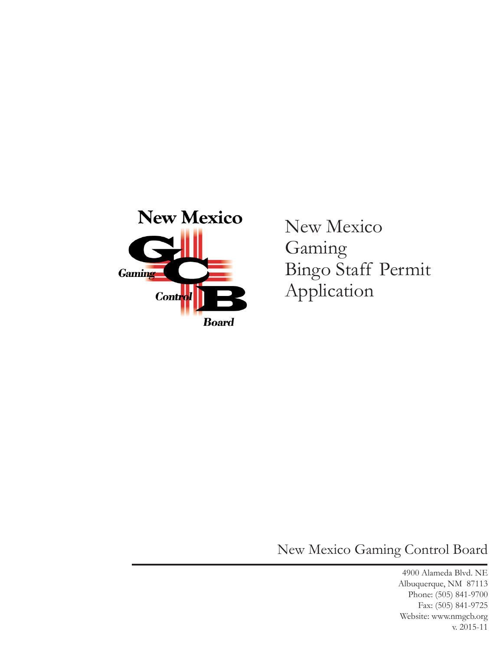

New Mexico Gaming Bingo Staff Permit Application

New Mexico Gaming Control Board

4900 Alameda Blvd. NE Albuquerque, NM 87113 Phone: (505) 841-9700 Fax: (505) 841-9725 Website: www.nmgcb.org v. 2015-11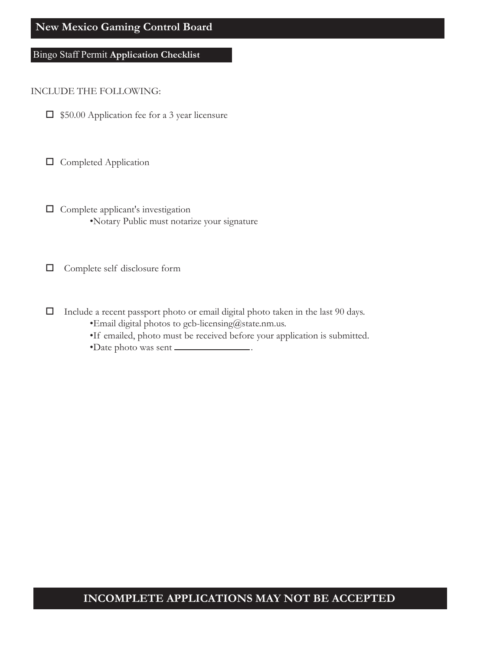### **New Mexico Gaming Control Board**

### Bingo Staff Permit **Application Checklist**

#### INCLUDE THE FOLLOWING:

 $\Box$  \$50.00 Application fee for a 3 year licensure

 $\square$  Completed Application

 $\Box$  Complete applicant's investigation •Notary Public must notarize your signature

Complete self disclosure form

- $\Box$  Include a recent passport photo or email digital photo taken in the last 90 days.
	- •Email digital photos to gcb-licensing@state.nm.us.
	- •If emailed, photo must be received before your application is submitted.
	- •Date photo was sent .

### **INCOMPLETE APPLICATIONS MAY NOT BE ACCEPTED**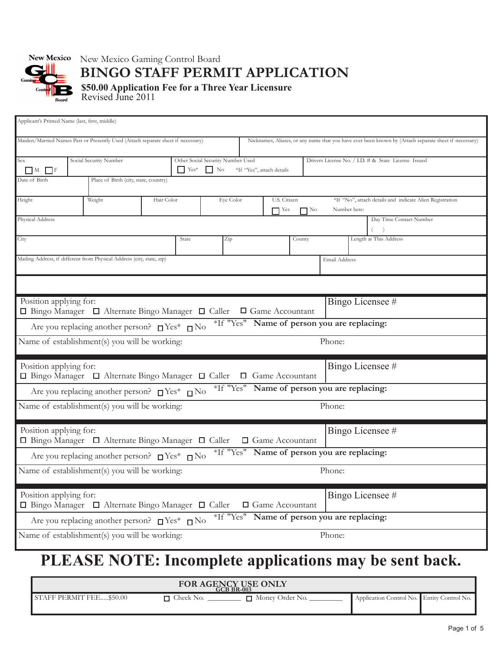

# New Mexico Gaming Control Board **BINGO STAFF PERMIT APPLICATION**

**\$50.00 Application Fee for a Three Year Licensure** Revised June 2011

| Applicant's Printed Name (last, first, middle)                                                         |                                                                                                                                     |                                                                                  |            |                                                      |     |                  |                                                                                      |  |                                                     |        |  |                                                                                                       |
|--------------------------------------------------------------------------------------------------------|-------------------------------------------------------------------------------------------------------------------------------------|----------------------------------------------------------------------------------|------------|------------------------------------------------------|-----|------------------|--------------------------------------------------------------------------------------|--|-----------------------------------------------------|--------|--|-------------------------------------------------------------------------------------------------------|
|                                                                                                        |                                                                                                                                     | Maiden/Married Names Past or Presently Used (Attach separate sheet if necessary) |            |                                                      |     |                  |                                                                                      |  |                                                     |        |  | Nicknames, Aliases, or any name that you have ever been known by (Attach separate sheet if necessary) |
| Sex                                                                                                    |                                                                                                                                     | Social Security Number                                                           |            | Other Social Security Number Used                    |     |                  |                                                                                      |  | Drivers License No. / I.D. # & State License Issued |        |  |                                                                                                       |
| Date of Birth                                                                                          | $\mathbf{Y}$ $\mathbf{Y}$ $\mathbf{e}$ $\mathbf{s}^*$<br>$\Box$ No<br>$\Box$ F<br>$\Box$ M<br>Place of Birth (city, state, country) |                                                                                  |            |                                                      |     |                  | *If "Yes", attach details                                                            |  |                                                     |        |  |                                                                                                       |
|                                                                                                        |                                                                                                                                     |                                                                                  |            |                                                      |     |                  |                                                                                      |  |                                                     |        |  |                                                                                                       |
| Weight<br>Height                                                                                       |                                                                                                                                     |                                                                                  | Hair Color | Eye Color<br>U.S. Citizen<br>$\Box$ Yes<br>$\Box$ No |     |                  | *If "No", attach details and indicate Alien Registration<br>Number here:             |  |                                                     |        |  |                                                                                                       |
| Physical Address                                                                                       |                                                                                                                                     |                                                                                  |            |                                                      |     |                  |                                                                                      |  |                                                     |        |  | Day Time Contact Number                                                                               |
| City                                                                                                   |                                                                                                                                     |                                                                                  |            | State                                                | Zip |                  | County                                                                               |  |                                                     |        |  | Length at This Address                                                                                |
| Mailing Address, if different from Physical Address (city, state, zip)                                 |                                                                                                                                     |                                                                                  |            |                                                      |     | Email Address    |                                                                                      |  |                                                     |        |  |                                                                                                       |
|                                                                                                        |                                                                                                                                     |                                                                                  |            |                                                      |     |                  |                                                                                      |  |                                                     |        |  |                                                                                                       |
|                                                                                                        | Bingo Licensee #<br>Position applying for:<br>□ Bingo Manager □ Alternate Bingo Manager □ Caller<br>$\Box$ Game Accountant          |                                                                                  |            |                                                      |     |                  |                                                                                      |  |                                                     |        |  |                                                                                                       |
|                                                                                                        |                                                                                                                                     | Are you replacing another person? $\square$ Yes* $\square$ No                    |            |                                                      |     |                  | *If "Yes" Name of person you are replacing:                                          |  |                                                     |        |  |                                                                                                       |
|                                                                                                        |                                                                                                                                     | Name of establishment(s) you will be working:                                    |            |                                                      |     |                  |                                                                                      |  |                                                     | Phone: |  |                                                                                                       |
| Position applying for:                                                                                 |                                                                                                                                     | □ Bingo Manager □ Alternate Bingo Manager □ Caller □ Game Accountant             |            |                                                      |     |                  |                                                                                      |  |                                                     |        |  | Bingo Licensee #                                                                                      |
|                                                                                                        |                                                                                                                                     | Are you replacing another person? $\square$ Yes* $\square$ No                    |            |                                                      |     |                  | *If "Yes" Name of person you are replacing:                                          |  |                                                     |        |  |                                                                                                       |
|                                                                                                        |                                                                                                                                     | Name of establishment(s) you will be working:                                    |            |                                                      |     |                  |                                                                                      |  |                                                     | Phone: |  |                                                                                                       |
| Position applying for:<br>□ Bingo Manager □ Alternate Bingo Manager □ Caller<br>$\Box$ Game Accountant |                                                                                                                                     |                                                                                  |            |                                                      |     | Bingo Licensee # |                                                                                      |  |                                                     |        |  |                                                                                                       |
|                                                                                                        |                                                                                                                                     | Are you replacing another person? $\Box$ Yes* $\Box$ No                          |            |                                                      |     |                  | *If "Yes" Name of person you are replacing:                                          |  |                                                     |        |  |                                                                                                       |
|                                                                                                        |                                                                                                                                     | Name of establishment(s) you will be working:                                    |            |                                                      |     |                  |                                                                                      |  |                                                     | Phone: |  |                                                                                                       |
| Position applying for:<br>□ Bingo Manager □ Alternate Bingo Manager □ Caller                           |                                                                                                                                     |                                                                                  |            |                                                      |     |                  | Bingo Licensee #<br>□ Game Accountant<br>*If "Yes" Name of person you are replacing: |  |                                                     |        |  |                                                                                                       |
|                                                                                                        |                                                                                                                                     | Are you replacing another person? $\square$ Yes* $\square$ No                    |            |                                                      |     |                  |                                                                                      |  |                                                     |        |  |                                                                                                       |
| Name of establishment(s) you will be working:                                                          |                                                                                                                                     |                                                                                  |            |                                                      |     | Phone:           |                                                                                      |  |                                                     |        |  |                                                                                                       |

# **PLEASE NOTE: Incomplete applications may be sent back.**

| FOR AGENCY USE ONLY          |           |                 |                                            |  |  |  |  |  |
|------------------------------|-----------|-----------------|--------------------------------------------|--|--|--|--|--|
| AFF PERMIT FEE.<br>. \$50.00 | Check No. | Money Order No. | Application Control No. Entity Control No. |  |  |  |  |  |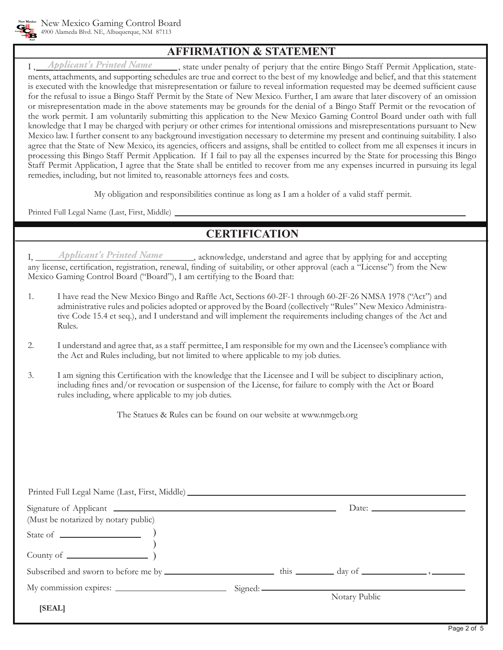

## **AFFIRMATION & STATEMENT**

I, Applicant's Printed Name , state under penalty of perjury that the entire Bingo Staff Permit Application, statements, attachments, and supporting schedules are true and correct to the best of my knowledge and belief, and that this statement is executed with the knowledge that misrepresentation or failure to reveal information requested may be deemed sufficient cause for the refusal to issue a Bingo Staff Permit by the State of New Mexico. Further, I am aware that later discovery of an omission or misrepresentation made in the above statements may be grounds for the denial of a Bingo Staff Permit or the revocation of the work permit. I am voluntarily submitting this application to the New Mexico Gaming Control Board under oath with full knowledge that I may be charged with perjury or other crimes for intentional omissions and misrepresentations pursuant to New Mexico law. I further consent to any background investigation necessary to determine my present and continuing suitability. I also agree that the State of New Mexico, its agencies, officers and assigns, shall be entitled to collect from me all expenses it incurs in processing this Bingo Staff Permit Application. If I fail to pay all the expenses incurred by the State for processing this Bingo Staff Permit Application, I agree that the State shall be entitled to recover from me any expenses incurred in pursuing its legal remedies, including, but not limited to, reasonable attorneys fees and costs. *Applicant's Printed Name*

My obligation and responsibilities continue as long as I am a holder of a valid staff permit.

Printed Full Legal Name (Last, First, Middle)

# **CERTIFICATION**

I, \_\_\_\_\_\_\_\_\_\_\_\_\_\_\_\_\_\_\_\_\_\_\_\_\_\_\_\_\_\_\_\_\_\_\_, acknowledge, understand and agree that by applying for and accepting any license, certification, registration, renewal, finding of suitability, or other approval (each a "License") from the New Mexico Gaming Control Board ("Board"), I am certifying to the Board that: *Applicant's Printed Name*

- 1. I have read the New Mexico Bingo and Raffle Act, Sections 60-2F-1 through 60-2F-26 NMSA 1978 ("Act") and administrative rules and policies adopted or approved by the Board (collectively "Rules" New Mexico Administrative Code 15.4 et seq.), and I understand and will implement the requirements including changes of the Act and Rules.
- 2. I understand and agree that, as a staff permittee, I am responsible for my own and the Licensee's compliance with the Act and Rules including, but not limited to where applicable to my job duties.
- 3. I am signing this Certification with the knowledge that the Licensee and I will be subject to disciplinary action, including fines and/or revocation or suspension of the License, for failure to comply with the Act or Board rules including, where applicable to my job duties.

The Statues & Rules can be found on our website at www.nmgcb.org

| Printed Full Legal Name (Last, First, Middle) ___________________________________ |                     |               |  |  |  |
|-----------------------------------------------------------------------------------|---------------------|---------------|--|--|--|
| Signature of Applicant <u>example and the set of Applicant</u>                    | Date: $\frac{1}{2}$ |               |  |  |  |
| (Must be notarized by notary public)                                              |                     |               |  |  |  |
| State of $\qquad \qquad$                                                          |                     |               |  |  |  |
|                                                                                   |                     |               |  |  |  |
|                                                                                   |                     |               |  |  |  |
|                                                                                   |                     |               |  |  |  |
|                                                                                   |                     | Notary Public |  |  |  |
| [SEAL]                                                                            |                     |               |  |  |  |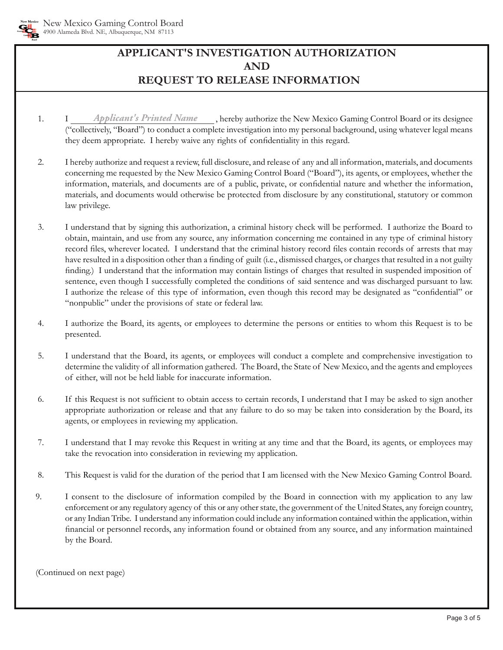

# **APPLICANT'S INVESTIGATION AUTHORIZATION AND REQUEST TO RELEASE INFORMATIONtion.**

- 1. I *Applicant's Printed Name* <sub>\_\_\_</sub>, hereby authorize the New Mexico Gaming Control Board or its designee ("collectively, "Board") to conduct a complete investigation into my personal background, using whatever legal means they deem appropriate. I hereby waive any rights of confidentiality in this regard.
- 2. I hereby authorize and request a review, full disclosure, and release of any and all information, materials, and documents concerning me requested by the New Mexico Gaming Control Board ("Board"), its agents, or employees, whether the information, materials, and documents are of a public, private, or confidential nature and whether the information, materials, and documents would otherwise be protected from disclosure by any constitutional, statutory or common law privilege.
- 3. I understand that by signing this authorization, a criminal history check will be performed. I authorize the Board to obtain, maintain, and use from any source, any information concerning me contained in any type of criminal history record files, wherever located. I understand that the criminal history record files contain records of arrests that may have resulted in a disposition other than a finding of guilt (i.e., dismissed charges, or charges that resulted in a not guilty finding.) I understand that the information may contain listings of charges that resulted in suspended imposition of sentence, even though I successfully completed the conditions of said sentence and was discharged pursuant to law. I authorize the release of this type of information, even though this record may be designated as "confidential" or "nonpublic" under the provisions of state or federal law.
- 4. I authorize the Board, its agents, or employees to determine the persons or entities to whom this Request is to be presented.
- 5. I understand that the Board, its agents, or employees will conduct a complete and comprehensive investigation to determine the validity of all information gathered. The Board, the State of New Mexico, and the agents and employees of either, will not be held liable for inaccurate information.
- 6. If this Request is not sufficient to obtain access to certain records, I understand that I may be asked to sign another appropriate authorization or release and that any failure to do so may be taken into consideration by the Board, its agents, or employees in reviewing my application.
- 7. I understand that I may revoke this Request in writing at any time and that the Board, its agents, or employees may take the revocation into consideration in reviewing my application.
- 8. This Request is valid for the duration of the period that I am licensed with the New Mexico Gaming Control Board.
- 9. I consent to the disclosure of information compiled by the Board in connection with my application to any law enforcement or any regulatory agency of this or any other state, the government of the United States, any foreign country, or any Indian Tribe. I understand any information could include any information contained within the application, within financial or personnel records, any information found or obtained from any source, and any information maintained by the Board.

(Continued on next page)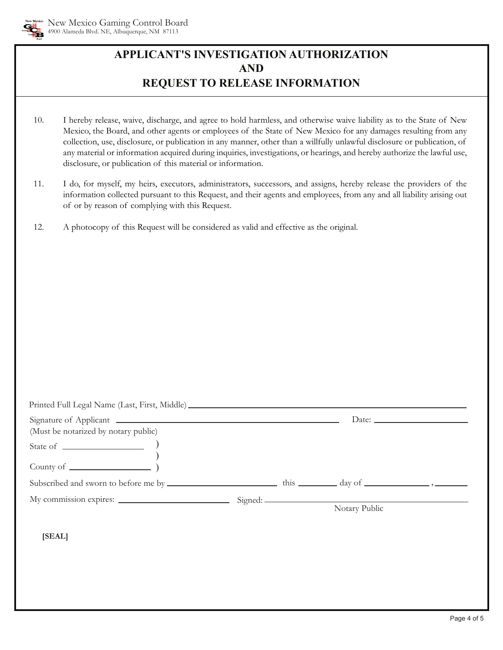

# **APPLICANT'S INVESTIGATION AUTHORIZATION AND REQUEST TO RELEASE INFORMATION**

- 10. I hereby release, waive, discharge, and agree to hold harmless, and otherwise waive liability as to the State of New Mexico, the Board, and other agents or employees of the State of New Mexico for any damages resulting from any collection, use, disclosure, or publication in any manner, other than a willfully unlawful disclosure or publication, of any material or information acquired during inquiries, investigations, or hearings, and hereby authorize the lawful use, disclosure, or publication of this material or information.
- 11. I do, for myself, my heirs, executors, administrators, successors, and assigns, hereby release the providers of the information collected pursuant to this Request, and their agents and employees, from any and all liability arising out of or by reason of complying with this Request.
- 12. A photocopy of this Request will be considered as valid and effective as the original.

| Printed Full Legal Name (Last, First, Middle) ___________________________________ |  |               |  |  |
|-----------------------------------------------------------------------------------|--|---------------|--|--|
|                                                                                   |  |               |  |  |
| (Must be notarized by notary public)                                              |  |               |  |  |
| State of $\qquad \qquad$                                                          |  |               |  |  |
|                                                                                   |  |               |  |  |
|                                                                                   |  |               |  |  |
|                                                                                   |  |               |  |  |
|                                                                                   |  | Notary Public |  |  |
| [SEAL]                                                                            |  |               |  |  |
|                                                                                   |  |               |  |  |
|                                                                                   |  |               |  |  |
|                                                                                   |  |               |  |  |